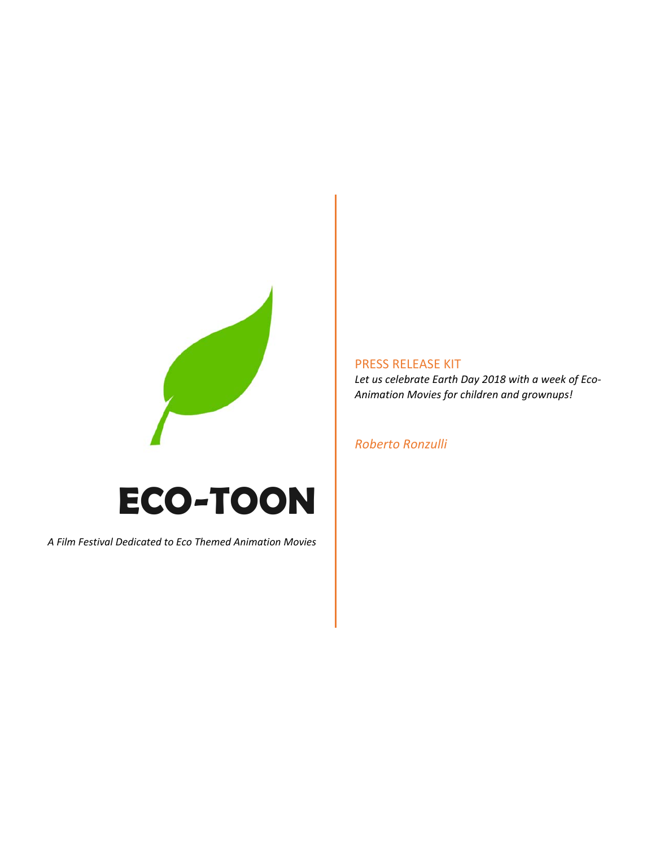

# **ECO-TOON**

*A Film Festival Dedicated to Eco Themed Animation Movies*

# PRESS RELEASE KIT

*Let us celebrate Earth Day 2018 with a week of Eco‐ Animation Movies for children and grownups!*

#### *Roberto Ronzulli*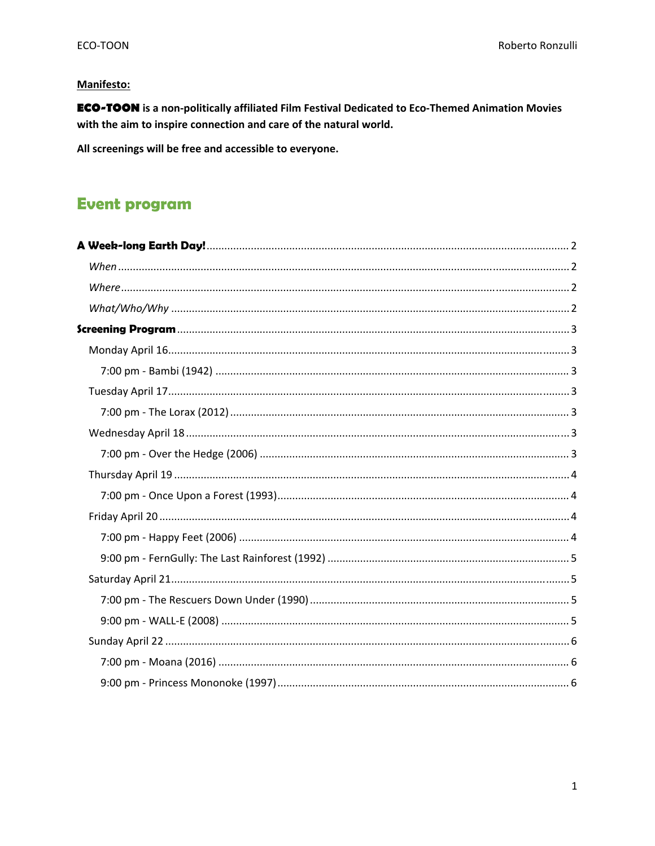## **Manifesto:**

**ECO-TOON** is a non-politically affiliated Film Festival Dedicated to Eco-Themed Animation Movies with the aim to inspire connection and care of the natural world.

All screenings will be free and accessible to everyone.

# **Event program**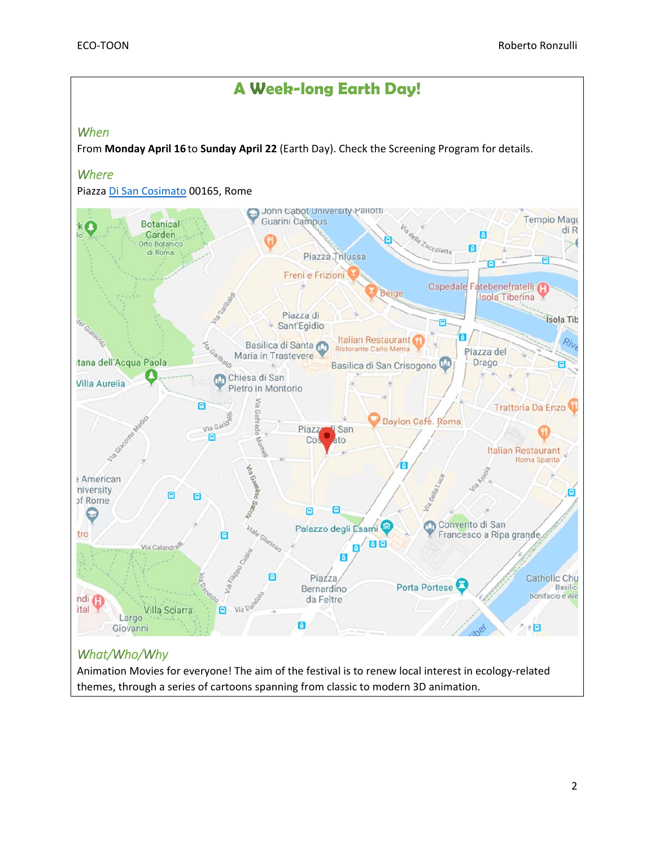

Animation Movies for everyone! The aim of the festival is to renew local interest in ecology‐related themes, through a series of cartoons spanning from classic to modern 3D animation.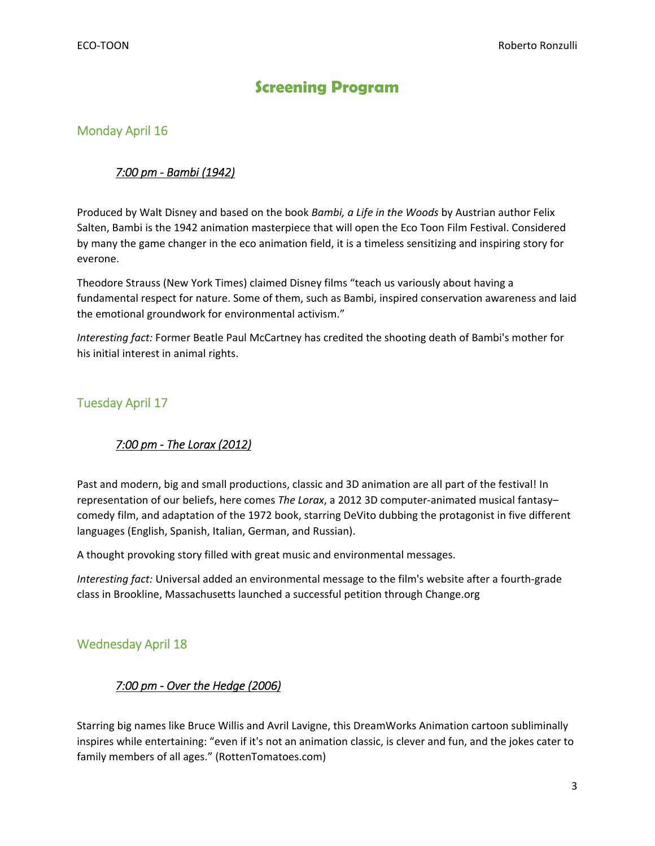# **Screening Program**

# Monday April 16

#### *7:00 pm ‐ Bambi (1942)*

Produced by Walt Disney and based on the book *Bambi, a Life in the Woods* by Austrian author Felix Salten, Bambi is the 1942 animation masterpiece that will open the Eco Toon Film Festival. Considered by many the game changer in the eco animation field, it is a timeless sensitizing and inspiring story for everone.

Theodore Strauss (New York Times) claimed Disney films "teach us variously about having a fundamental respect for nature. Some of them, such as Bambi, inspired conservation awareness and laid the emotional groundwork for environmental activism."

*Interesting fact:* Former Beatle Paul McCartney has credited the shooting death of Bambi's mother for his initial interest in animal rights.

## Tuesday April 17

## *7:00 pm ‐ The Lorax (2012)*

Past and modern, big and small productions, classic and 3D animation are all part of the festival! In representation of our beliefs, here comes *The Lorax*, a 2012 3D computer‐animated musical fantasy– comedy film, and adaptation of the 1972 book, starring DeVito dubbing the protagonist in five different languages (English, Spanish, Italian, German, and Russian).

A thought provoking story filled with great music and environmental messages.

*Interesting fact:* Universal added an environmental message to the film's website after a fourth‐grade class in Brookline, Massachusetts launched a successful petition through Change.org

## Wednesday April 18

## *7:00 pm ‐ Over the Hedge (2006)*

Starring big names like Bruce Willis and Avril Lavigne, this DreamWorks Animation cartoon subliminally inspires while entertaining: "even if it's not an animation classic, is clever and fun, and the jokes cater to family members of all ages." (RottenTomatoes.com)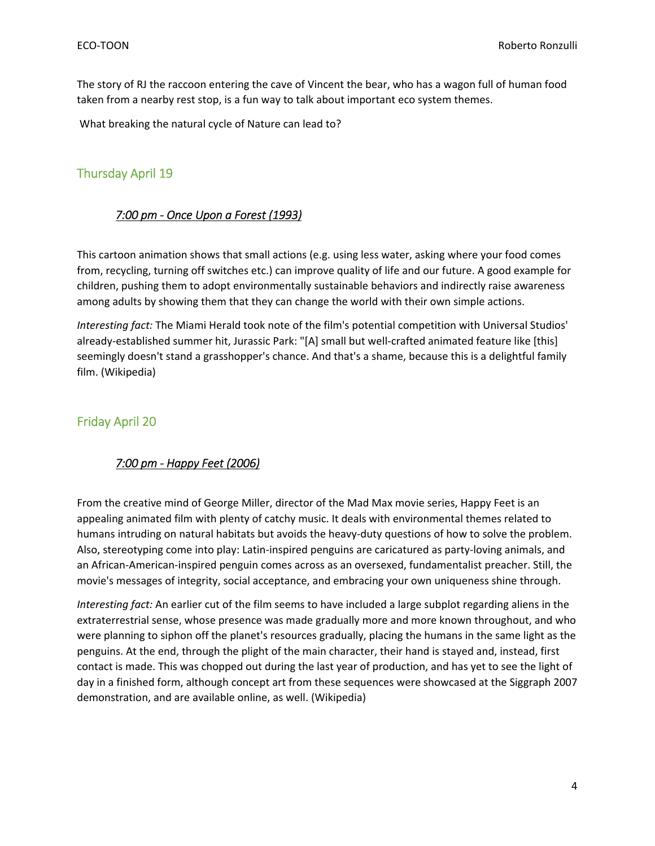The story of RJ the raccoon entering the cave of Vincent the bear, who has a wagon full of human food taken from a nearby rest stop, is a fun way to talk about important eco system themes.

What breaking the natural cycle of Nature can lead to?

## Thursday April 19

#### *7:00 pm ‐ Once Upon a Forest (1993)*

This cartoon animation shows that small actions (e.g. using less water, asking where your food comes from, recycling, turning off switches etc.) can improve quality of life and our future. A good example for children, pushing them to adopt environmentally sustainable behaviors and indirectly raise awareness among adults by showing them that they can change the world with their own simple actions.

*Interesting fact:* The Miami Herald took note of the film's potential competition with Universal Studios' already‐established summer hit, Jurassic Park: "[A] small but well‐crafted animated feature like [this] seemingly doesn't stand a grasshopper's chance. And that's a shame, because this is a delightful family film. (Wikipedia)

#### Friday April 20

#### *7:00 pm ‐ Happy Feet (2006)*

From the creative mind of George Miller, director of the Mad Max movie series, Happy Feet is an appealing animated film with plenty of catchy music. It deals with environmental themes related to humans intruding on natural habitats but avoids the heavy-duty questions of how to solve the problem. Also, stereotyping come into play: Latin‐inspired penguins are caricatured as party‐loving animals, and an African‐American‐inspired penguin comes across as an oversexed, fundamentalist preacher. Still, the movie's messages of integrity, social acceptance, and embracing your own uniqueness shine through.

*Interesting fact:* An earlier cut of the film seems to have included a large subplot regarding aliens in the extraterrestrial sense, whose presence was made gradually more and more known throughout, and who were planning to siphon off the planet's resources gradually, placing the humans in the same light as the penguins. At the end, through the plight of the main character, their hand is stayed and, instead, first contact is made. This was chopped out during the last year of production, and has yet to see the light of day in a finished form, although concept art from these sequences were showcased at the Siggraph 2007 demonstration, and are available online, as well. (Wikipedia)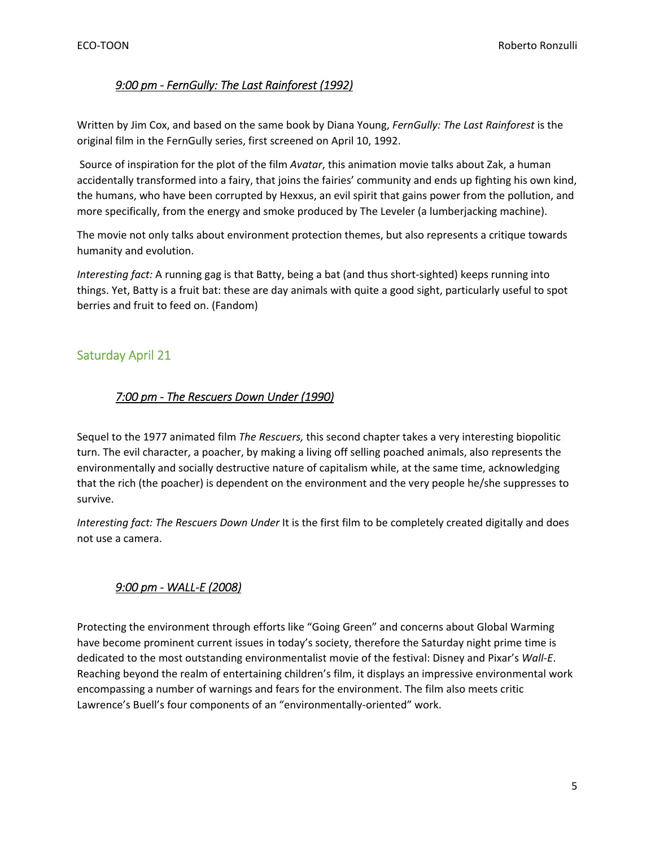#### *9:00 pm ‐ FernGully: The Last Rainforest (1992)*

Written by Jim Cox, and based on the same book by Diana Young, *FernGully: The Last Rainforest* is the original film in the FernGully series, first screened on April 10, 1992.

Source of inspiration for the plot of the film *Avatar*, this animation movie talks about Zak, a human accidentally transformed into a fairy, that joins the fairies' community and ends up fighting his own kind, the humans, who have been corrupted by Hexxus, an evil spirit that gains power from the pollution, and more specifically, from the energy and smoke produced by The Leveler (a lumberjacking machine).

The movie not only talks about environment protection themes, but also represents a critique towards humanity and evolution.

*Interesting fact:* A running gag is that Batty, being a bat (and thus short‐sighted) keeps running into things. Yet, Batty is a fruit bat: these are day animals with quite a good sight, particularly useful to spot berries and fruit to feed on. (Fandom)

## Saturday April 21

#### *7:00 pm ‐ The Rescuers Down Under (1990)*

Sequel to the 1977 animated film *The Rescuers,* this second chapter takes a very interesting biopolitic turn. The evil character, a poacher, by making a living off selling poached animals, also represents the environmentally and socially destructive nature of capitalism while, at the same time, acknowledging that the rich (the poacher) is dependent on the environment and the very people he/she suppresses to survive.

*Interesting fact: The Rescuers Down Under* It is the first film to be completely created digitally and does not use a camera.

#### *9:00 pm ‐ WALL‐E (2008)*

Protecting the environment through efforts like "Going Green" and concerns about Global Warming have become prominent current issues in today's society, therefore the Saturday night prime time is dedicated to the most outstanding environmentalist movie of the festival: Disney and Pixar's *Wall‐E*. Reaching beyond the realm of entertaining children's film, it displays an impressive environmental work encompassing a number of warnings and fears for the environment. The film also meets critic Lawrence's Buell's four components of an "environmentally‐oriented" work.